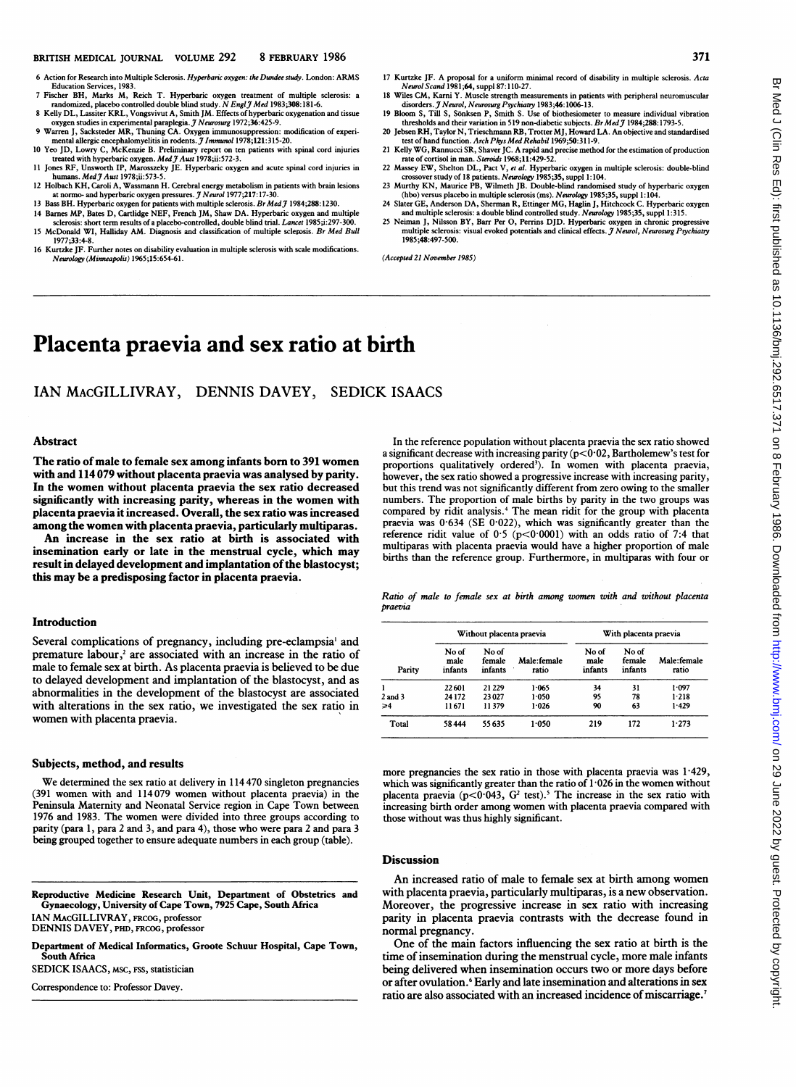6 Action for Research into Multiple Sclerosis. Hyperbaric oxygen: the Dundee study. London: ARMS Education Services, 1983.<br>
7 Fischer BH, Marks M, Reich T. Hyperbaric oxygen treatment of multiple sclerosis: a

- randomized, placebo controlled double blind study. N Engl 7 Med 1983;308:181-6.<br>8 Kelly DL, Lassiter KRL, Vongsvivut A, Smith JM. Effects of hyperbaric oxygenation and tissue
- oxygen studies in experimental paraplegia. *J Neurosurg* 1972;36:425-9.<br>
9 Warren J, Sacksteder MR, Thuning CA. Oxygen immunosuppression: modification of experi-
- mental allergic encephalomyelitis in rodents. *J Immunol* 1978;121:315-20.<br>10 Yeo JD, Lowry C, McKenzie B. Preliminary report on ten patients with spinal cord injuries
- trated with hyperbaric oxygen. Med J Aust 1978;ii:572-3.<br>
11 Jones RF, Unsworth IP, Marosszeky JE. Hyperbaric oxygen and acute spinal cord injuries in
- humans. Med J Aust 1978; ii.573-5.<br>12 Holbach KH, Caroli A, Wassmann H. Cerebral energy metabolism in patients with brain lesions
- at normo- and hyperbaric oxygen pressures. *J Neurol* 1977;217:17-30.<br>13 Bass BH. Hyperbaric oxygen for patients with multiple sclerosis. *Br Med J* 1984;288:1230.
- 14 Barnes MP, Bates D, Cartlidge NEF, French JM, Shaw DA. Hyperbaric oxygen and multiple sclerosis: short term results of a placebo-controlled, double blind trial. *Lancet* 1985;i:297-300.
- 15 McDonald WI, Halliday AM. Diagnosis and classification of multiple scleposis. Br Med Bull 1977:33:4-8.
- 16 Kurzke JF. Further notes on disability evaluation in multiple sclerosis with scale modifications.<br>Neurology (Minneapolis) 1965;15:654-61.
- 17 Kurtzke JF. A proposal for a uniform minimal record of disability in multiple sclerosis. Acta Neurol Scand 1981;64, suppl 87:110-27.
- 18 Wiles CM, Karni Y. Muscle strength measurements in patients with peripheral neuromuscular disorders. *J. Neurosing Psychiatry* 1983;46:1006-13.<br>19 Bloom S, Till S, Sönksen P, Smith S. Use of biothesiometer to measure individual vibration
- thresholds and their variation in 519 non-diabetic subjects. Br Med 7 1984;288:1793-5.<br>20 Jebsen RH, Taylor N, Trieschmann RB, Trotter MJ, Howard LA. An objective and standardised
- Let of hand function. *Arch Phys Med Rehabil* 1969;50:311-9.<br>Its of hand function. *Arch Phys Med Rehabil* 1969;50:311-9.<br>21 Kelly WG, Rannucci SR, Shaver JC. A rapid and precise method for the estimation of production
- rate of cortisol in man. *Steroids* 1968;11:429-52.<br>
22 Massey EW, Shelton DL, Pact V, et al. Hyperbaric oxygen in multiple sclerosis: double-blind
- consover study of 18 patients. Neurology 1985;35, suppl 1:104.<br>23 Murthy KN, Maurice PB, Wilmeth JB. Double-blind randomised study of hyperbaric oxygen
- The Chapter of the Schwarz Chapter of the Schwarz Chapter of the Schwarz Chapter of the Schwarz Chapter of the Schwarz Chapter of Schwarz 24 Slater GE, Anderson DA, Sherman R, Ettinger MG, Haglin J, Hitchcock C. Hyperbaric and multiple sclerosis: a double blind controlled study. Neurology 1985;35, suppl 1:315.<br>25 Neiman J, Nilsson BY, Barr Per O, Perrins DJD. Hyperbaric oxygen in chronic progressive
	- multiple sclerosis: visual evoked potentials and clinical effects. J Neurol, Neurosurg Psychiatry 1985:48:497-500

(Accepted 21 November 1985)

# Placenta praevia and sex ratio at birth

#### IAN MACGILLIVRAY, DENNIS DAVEY, **SEDICK ISAACS**

#### **Abstract**

The ratio of male to female sex among infants born to 391 women with and 114 079 without placenta praevia was analysed by parity. In the women without placenta praevia the sex ratio decreased significantly with increasing parity, whereas in the women with placenta praevia it increased. Overall, the sex ratio was increased among the women with placenta praevia, particularly multiparas.

An increase in the sex ratio at birth is associated with insemination early or late in the menstrual cycle, which may result in delayed development and implantation of the blastocyst; this may be a predisposing factor in placenta praevia.

## Introduction

Several complications of pregnancy, including pre-eclampsia<sup>1</sup> and premature labour,<sup>2</sup> are associated with an increase in the ratio of male to female sex at birth. As placenta praevia is believed to be due to delayed development and implantation of the blastocyst, and as abnormalities in the development of the blastocyst are associated with alterations in the sex ratio, we investigated the sex ratio in women with placenta praevia.

#### Subjects, method, and results

We determined the sex ratio at delivery in 114 470 singleton pregnancies (391 women with and 114079 women without placenta praevia) in the Peninsula Maternity and Neonatal Service region in Cape Town between 1976 and 1983. The women were divided into three groups according to parity (para 1, para 2 and 3, and para 4), those who were para 2 and para 3 being grouped together to ensure adequate numbers in each group (table).

Reproductive Medicine Research Unit, Department of Obstetrics and Gynaecology, University of Cape Town, 7925 Cape, South Africa IAN MACGILLIVRAY, FRCOG, professor DENNIS DAVEY, PHD, FRCOG, professor

Department of Medical Informatics, Groote Schuur Hospital, Cape Town, South Africa

SEDICK ISAACS, MSC, FSS, statistician

Correspondence to: Professor Davey.

In the reference population without placenta praevia the sex ratio showed a significant decrease with increasing parity ( $p<0.02$ , Bartholemew's test for proportions qualitatively ordered<sup>3</sup>). In women with placenta praevia, however, the sex ratio showed a progressive increase with increasing parity, but this trend was not significantly different from zero owing to the smaller numbers. The proportion of male births by parity in the two groups was compared by ridit analysis.<sup>4</sup> The mean ridit for the group with placenta praevia was 0.634 (SE 0.022), which was significantly greater than the reference ridit value of  $0.5$  ( $p<0.0001$ ) with an odds ratio of 7:4 that multiparas with placenta praevia would have a higher proportion of male births than the reference group. Furthermore, in multiparas with four or

Ratio of male to female sex at birth among women with and without placenta praevia

| Parity  | Without placenta praevia |                            |                      | With placenta praevia    |                            |                      |
|---------|--------------------------|----------------------------|----------------------|--------------------------|----------------------------|----------------------|
|         | No of<br>male<br>infants | No of<br>female<br>infants | Male:female<br>ratio | No of<br>male<br>infants | No of<br>female<br>infants | Male:female<br>ratio |
|         | 22601                    | 21 229                     | 1.065                | 34                       | 31                         | 1.097                |
| 2 and 3 | 24 172                   | 23027                      | 1.050                | 95                       | 78                         | 1.218                |
| ≥4      | 11671                    | 11379                      | 1.026                | 90                       | 63                         | 1.429                |
| Total   | 58444                    | 55635                      | 1.050                | 219                      | 172                        | 1.273                |

more pregnancies the sex ratio in those with placenta praevia was 1.429, which was significantly greater than the ratio of  $1.026$  in the women without placenta praevia  $(p<0.043, G<sup>2</sup> test).$ <sup>5</sup> The increase in the sex ratio with increasing birth order among women with placenta praevia compared with those without was thus highly significant.

#### **Discussion**

An increased ratio of male to female sex at birth among women with placenta praevia, particularly multiparas, is a new observation. Moreover, the progressive increase in sex ratio with increasing parity in placenta praevia contrasts with the decrease found in normal pregnancy.

One of the main factors influencing the sex ratio at birth is the time of insemination during the menstrual cycle, more male infants being delivered when insemination occurs two or more days before or after ovulation.<sup>6</sup> Early and late insemination and alterations in sex ratio are also associated with an increased incidence of miscarriage.<sup>7</sup>